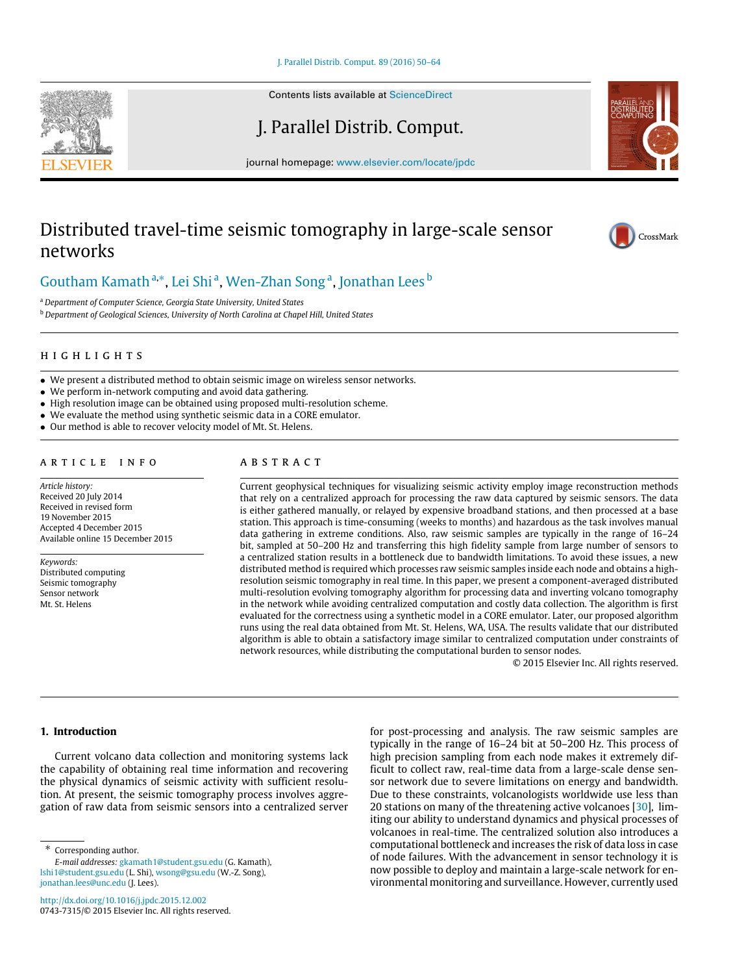[J. Parallel Distrib. Comput. 89 \(2016\) 50–64](http://dx.doi.org/10.1016/j.jpdc.2015.12.002)

Contents lists available at [ScienceDirect](http://www.elsevier.com/locate/jpdc)

J. Parallel Distrib. Comput.

journal homepage: [www.elsevier.com/locate/jpdc](http://www.elsevier.com/locate/jpdc)

# Distributed travel-time seismic tomography in large-scale sensor networks

# [Goutham Kamath](#page--1-0)<sup>[a,](#page-0-0)[∗](#page-0-1)</sup>, [Lei Shi](#page--1-1)<sup>[a](#page-0-0)</sup>, [Wen-Zhan Song](#page--1-2)<sup>a</sup>, [Jonathan Lees](#page--1-3) <sup>[b](#page-0-2)</sup>

<span id="page-0-0"></span><sup>a</sup> *Department of Computer Science, Georgia State University, United States*

<span id="page-0-2"></span><sup>b</sup> *Department of Geological Sciences, University of North Carolina at Chapel Hill, United States*

#### h i g h l i g h t s

- We present a distributed method to obtain seismic image on wireless sensor networks.
- We perform in-network computing and avoid data gathering.
- High resolution image can be obtained using proposed multi-resolution scheme.
- We evaluate the method using synthetic seismic data in a CORE emulator.
- Our method is able to recover velocity model of Mt. St. Helens.

### a r t i c l e i n f o

*Article history:* Received 20 July 2014 Received in revised form 19 November 2015 Accepted 4 December 2015 Available online 15 December 2015

*Keywords:* Distributed computing Seismic tomography Sensor network Mt. St. Helens

## a b s t r a c t

Current geophysical techniques for visualizing seismic activity employ image reconstruction methods that rely on a centralized approach for processing the raw data captured by seismic sensors. The data is either gathered manually, or relayed by expensive broadband stations, and then processed at a base station. This approach is time-consuming (weeks to months) and hazardous as the task involves manual data gathering in extreme conditions. Also, raw seismic samples are typically in the range of 16–24 bit, sampled at 50–200 Hz and transferring this high fidelity sample from large number of sensors to a centralized station results in a bottleneck due to bandwidth limitations. To avoid these issues, a new distributed method is required which processes raw seismic samples inside each node and obtains a highresolution seismic tomography in real time. In this paper, we present a component-averaged distributed multi-resolution evolving tomography algorithm for processing data and inverting volcano tomography in the network while avoiding centralized computation and costly data collection. The algorithm is first evaluated for the correctness using a synthetic model in a CORE emulator. Later, our proposed algorithm runs using the real data obtained from Mt. St. Helens, WA, USA. The results validate that our distributed algorithm is able to obtain a satisfactory image similar to centralized computation under constraints of network resources, while distributing the computational burden to sensor nodes.

© 2015 Elsevier Inc. All rights reserved.

### **1. Introduction**

Current volcano data collection and monitoring systems lack the capability of obtaining real time information and recovering the physical dynamics of seismic activity with sufficient resolution. At present, the seismic tomography process involves aggregation of raw data from seismic sensors into a centralized server

<span id="page-0-1"></span>Corresponding author.

for post-processing and analysis. The raw seismic samples are typically in the range of 16–24 bit at 50–200 Hz. This process of high precision sampling from each node makes it extremely difficult to collect raw, real-time data from a large-scale dense sensor network due to severe limitations on energy and bandwidth. Due to these constraints, volcanologists worldwide use less than 20 stations on many of the threatening active volcanoes [\[30\]](#page--1-4), limiting our ability to understand dynamics and physical processes of volcanoes in real-time. The centralized solution also introduces a computational bottleneck and increases the risk of data loss in case of node failures. With the advancement in sensor technology it is now possible to deploy and maintain a large-scale network for environmental monitoring and surveillance. However, currently used







*E-mail addresses:* [gkamath1@student.gsu.edu](mailto:gkamath1@student.gsu.edu) (G. Kamath), [lshi1@student.gsu.edu](mailto:lshi1@student.gsu.edu) (L. Shi), [wsong@gsu.edu](mailto:wsong@gsu.edu) (W.-Z. Song), [jonathan.lees@unc.edu](mailto:jonathan.lees@unc.edu) (J. Lees).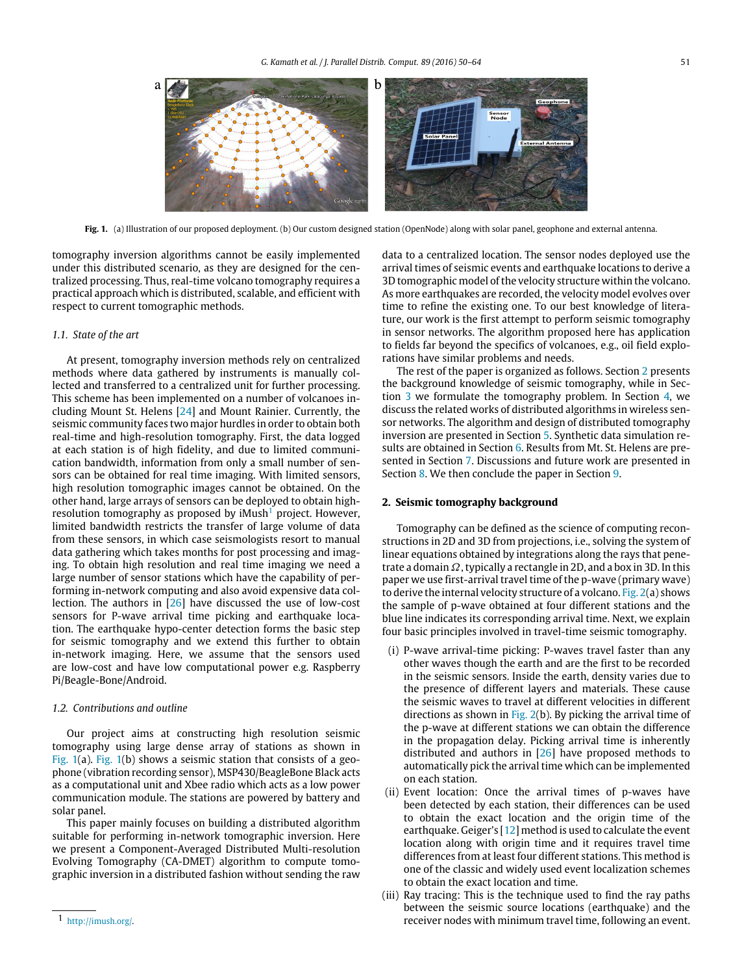<span id="page-1-1"></span>

**Fig. 1.** (a) Illustration of our proposed deployment. (b) Our custom designed station (OpenNode) along with solar panel, geophone and external antenna.

tomography inversion algorithms cannot be easily implemented under this distributed scenario, as they are designed for the centralized processing. Thus, real-time volcano tomography requires a practical approach which is distributed, scalable, and efficient with respect to current tomographic methods.

#### *1.1. State of the art*

At present, tomography inversion methods rely on centralized methods where data gathered by instruments is manually collected and transferred to a centralized unit for further processing. This scheme has been implemented on a number of volcanoes including Mount St. Helens [\[24\]](#page--1-5) and Mount Rainier. Currently, the seismic community faces two major hurdles in order to obtain both real-time and high-resolution tomography. First, the data logged at each station is of high fidelity, and due to limited communication bandwidth, information from only a small number of sensors can be obtained for real time imaging. With limited sensors, high resolution tomographic images cannot be obtained. On the other hand, large arrays of sensors can be deployed to obtain highresolution tomography as proposed by  $i$ Mush<sup>[1](#page-1-0)</sup> project. However, limited bandwidth restricts the transfer of large volume of data from these sensors, in which case seismologists resort to manual data gathering which takes months for post processing and imaging. To obtain high resolution and real time imaging we need a large number of sensor stations which have the capability of performing in-network computing and also avoid expensive data collection. The authors in [\[26\]](#page--1-6) have discussed the use of low-cost sensors for P-wave arrival time picking and earthquake location. The earthquake hypo-center detection forms the basic step for seismic tomography and we extend this further to obtain in-network imaging. Here, we assume that the sensors used are low-cost and have low computational power e.g. Raspberry Pi/Beagle-Bone/Android.

#### *1.2. Contributions and outline*

Our project aims at constructing high resolution seismic tomography using large dense array of stations as shown in [Fig. 1\(](#page-1-1)a). [Fig. 1\(](#page-1-1)b) shows a seismic station that consists of a geophone (vibration recording sensor), MSP430/BeagleBone Black acts as a computational unit and Xbee radio which acts as a low power communication module. The stations are powered by battery and solar panel.

This paper mainly focuses on building a distributed algorithm suitable for performing in-network tomographic inversion. Here we present a Component-Averaged Distributed Multi-resolution Evolving Tomography (CA-DMET) algorithm to compute tomographic inversion in a distributed fashion without sending the raw

data to a centralized location. The sensor nodes deployed use the arrival times of seismic events and earthquake locations to derive a 3D tomographic model of the velocity structure within the volcano. As more earthquakes are recorded, the velocity model evolves over time to refine the existing one. To our best knowledge of literature, our work is the first attempt to perform seismic tomography in sensor networks. The algorithm proposed here has application to fields far beyond the specifics of volcanoes, e.g., oil field explorations have similar problems and needs.

The rest of the paper is organized as follows. Section [2](#page-1-2) presents the background knowledge of seismic tomography, while in Section [3](#page--1-7) we formulate the tomography problem. In Section [4,](#page--1-8) we discuss the related works of distributed algorithms in wireless sensor networks. The algorithm and design of distributed tomography inversion are presented in Section [5.](#page--1-9) Synthetic data simulation re-sults are obtained in Section [6.](#page--1-10) Results from Mt. St. Helens are presented in Section [7.](#page--1-11) Discussions and future work are presented in Section [8.](#page--1-12) We then conclude the paper in Section [9.](#page--1-13)

#### <span id="page-1-2"></span>**2. Seismic tomography background**

Tomography can be defined as the science of computing reconstructions in 2D and 3D from projections, i.e., solving the system of linear equations obtained by integrations along the rays that penetrate a domain  $\Omega$ , typically a rectangle in 2D, and a box in 3D. In this paper we use first-arrival travel time of the p-wave (primary wave) to derive the internal velocity structure of a volcano. Fig.  $2(a)$  shows the sample of p-wave obtained at four different stations and the blue line indicates its corresponding arrival time. Next, we explain four basic principles involved in travel-time seismic tomography.

- (i) P-wave arrival-time picking: P-waves travel faster than any other waves though the earth and are the first to be recorded in the seismic sensors. Inside the earth, density varies due to the presence of different layers and materials. These cause the seismic waves to travel at different velocities in different directions as shown in [Fig. 2\(](#page--1-14)b). By picking the arrival time of the p-wave at different stations we can obtain the difference in the propagation delay. Picking arrival time is inherently distributed and authors in [\[26\]](#page--1-6) have proposed methods to automatically pick the arrival time which can be implemented on each station.
- (ii) Event location: Once the arrival times of p-waves have been detected by each station, their differences can be used to obtain the exact location and the origin time of the earthquake. Geiger's  $[12]$  method is used to calculate the event location along with origin time and it requires travel time differences from at least four different stations. This method is one of the classic and widely used event localization schemes to obtain the exact location and time.
- (iii) Ray tracing: This is the technique used to find the ray paths between the seismic source locations (earthquake) and the receiver nodes with minimum travel time, following an event.

<span id="page-1-0"></span><sup>1</sup> [http://imush.org/.](http://imush.org/)